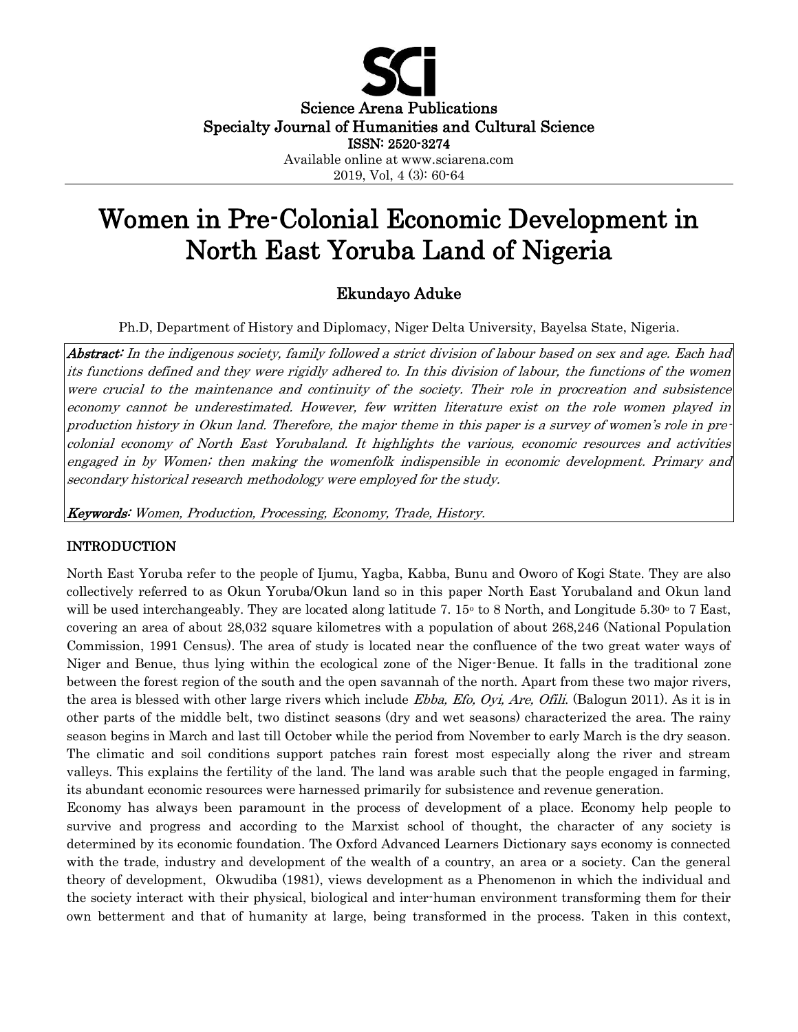

# Women in Pre-Colonial Economic Development in North East Yoruba Land of Nigeria

## Ekundayo Aduke

Ph.D, Department of History and Diplomacy, Niger Delta University, Bayelsa State, Nigeria.

Abstract: In the indigenous society, family followed a strict division of labour based on sex and age. Each had its functions defined and they were rigidly adhered to. In this division of labour, the functions of the women were crucial to the maintenance and continuity of the society. Their role in procreation and subsistence economy cannot be underestimated. However, few written literature exist on the role women played in production history in Okun land. Therefore, the major theme in this paper is a survey of women's role in precolonial economy of North East Yorubaland. It highlights the various, economic resources and activities engaged in by Women; then making the womenfolk indispensible in economic development. Primary and secondary historical research methodology were employed for the study.

Keywords: Women, Production, Processing, Economy, Trade, History.

#### INTRODUCTION

North East Yoruba refer to the people of Ijumu, Yagba, Kabba, Bunu and Oworo of Kogi State. They are also collectively referred to as Okun Yoruba/Okun land so in this paper North East Yorubaland and Okun land will be used interchangeably. They are located along latitude 7.  $15\degree$  to 8 North, and Longitude 5.30 $\degree$  to 7 East, covering an area of about 28,032 square kilometres with a population of about 268,246 (National Population Commission, 1991 Census). The area of study is located near the confluence of the two great water ways of Niger and Benue, thus lying within the ecological zone of the Niger-Benue. It falls in the traditional zone between the forest region of the south and the open savannah of the north. Apart from these two major rivers, the area is blessed with other large rivers which include *Ebba, Efo, Oyi, Are, Ofili*. (Balogun 2011). As it is in other parts of the middle belt, two distinct seasons (dry and wet seasons) characterized the area. The rainy season begins in March and last till October while the period from November to early March is the dry season. The climatic and soil conditions support patches rain forest most especially along the river and stream valleys. This explains the fertility of the land. The land was arable such that the people engaged in farming, its abundant economic resources were harnessed primarily for subsistence and revenue generation.

Economy has always been paramount in the process of development of a place. Economy help people to survive and progress and according to the Marxist school of thought, the character of any society is determined by its economic foundation. The Oxford Advanced Learners Dictionary says economy is connected with the trade, industry and development of the wealth of a country, an area or a society. Can the general theory of development, Okwudiba (1981), views development as a Phenomenon in which the individual and the society interact with their physical, biological and inter-human environment transforming them for their own betterment and that of humanity at large, being transformed in the process. Taken in this context,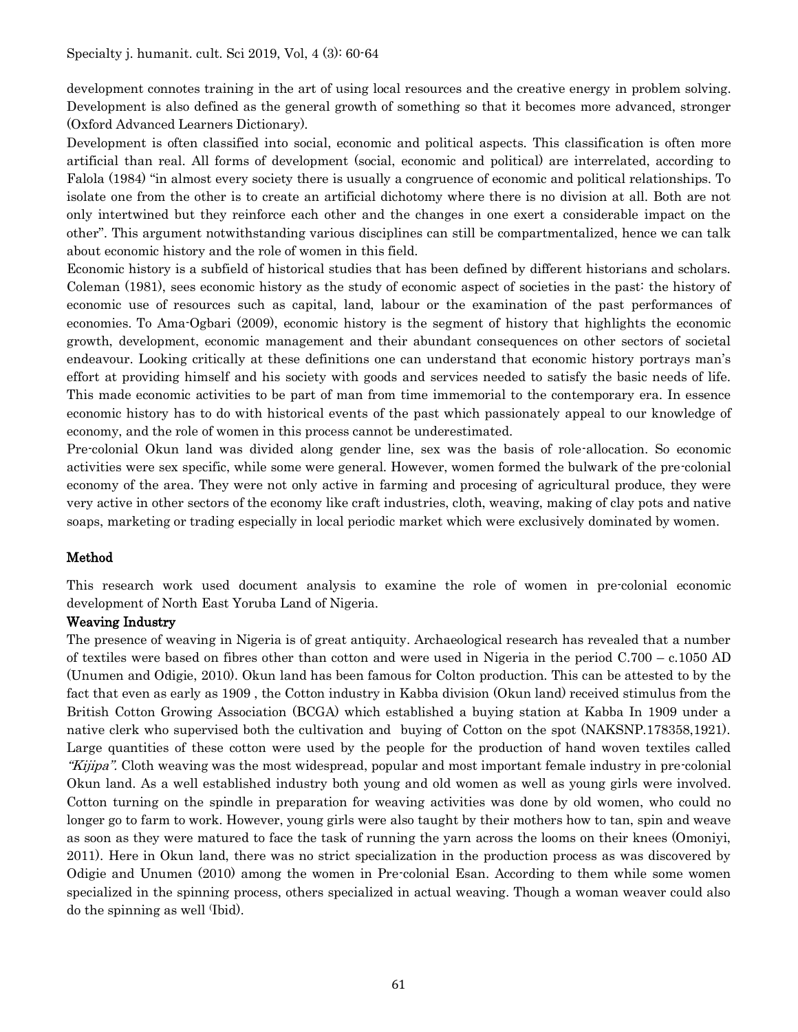development connotes training in the art of using local resources and the creative energy in problem solving. Development is also defined as the general growth of something so that it becomes more advanced, stronger (Oxford Advanced Learners Dictionary).

Development is often classified into social, economic and political aspects. This classification is often more artificial than real. All forms of development (social, economic and political) are interrelated, according to Falola (1984) "in almost every society there is usually a congruence of economic and political relationships. To isolate one from the other is to create an artificial dichotomy where there is no division at all. Both are not only intertwined but they reinforce each other and the changes in one exert a considerable impact on the other". This argument notwithstanding various disciplines can still be compartmentalized, hence we can talk about economic history and the role of women in this field.

Economic history is a subfield of historical studies that has been defined by different historians and scholars. Coleman (1981), sees economic history as the study of economic aspect of societies in the past: the history of economic use of resources such as capital, land, labour or the examination of the past performances of economies. To Ama-Ogbari (2009), economic history is the segment of history that highlights the economic growth, development, economic management and their abundant consequences on other sectors of societal endeavour. Looking critically at these definitions one can understand that economic history portrays man's effort at providing himself and his society with goods and services needed to satisfy the basic needs of life. This made economic activities to be part of man from time immemorial to the contemporary era. In essence economic history has to do with historical events of the past which passionately appeal to our knowledge of economy, and the role of women in this process cannot be underestimated.

Pre-colonial Okun land was divided along gender line, sex was the basis of role-allocation. So economic activities were sex specific, while some were general. However, women formed the bulwark of the pre-colonial economy of the area. They were not only active in farming and procesing of agricultural produce, they were very active in other sectors of the economy like craft industries, cloth, weaving, making of clay pots and native soaps, marketing or trading especially in local periodic market which were exclusively dominated by women.

## Method

This research work used document analysis to examine the role of women in pre-colonial economic development of North East Yoruba Land of Nigeria.

## Weaving Industry

The presence of weaving in Nigeria is of great antiquity. Archaeological research has revealed that a number of textiles were based on fibres other than cotton and were used in Nigeria in the period C.700 – c.1050 AD (Unumen and Odigie, 2010). Okun land has been famous for Colton production. This can be attested to by the fact that even as early as 1909 , the Cotton industry in Kabba division (Okun land) received stimulus from the British Cotton Growing Association (BCGA) which established a buying station at Kabba In 1909 under a native clerk who supervised both the cultivation and buying of Cotton on the spot (NAKSNP.178358,1921). Large quantities of these cotton were used by the people for the production of hand woven textiles called "Kijipa". Cloth weaving was the most widespread, popular and most important female industry in pre-colonial Okun land. As a well established industry both young and old women as well as young girls were involved. Cotton turning on the spindle in preparation for weaving activities was done by old women, who could no longer go to farm to work. However, young girls were also taught by their mothers how to tan, spin and weave as soon as they were matured to face the task of running the yarn across the looms on their knees (Omoniyi, 2011). Here in Okun land, there was no strict specialization in the production process as was discovered by Odigie and Unumen (2010) among the women in Pre-colonial Esan. According to them while some women specialized in the spinning process, others specialized in actual weaving. Though a woman weaver could also do the spinning as well (Ibid).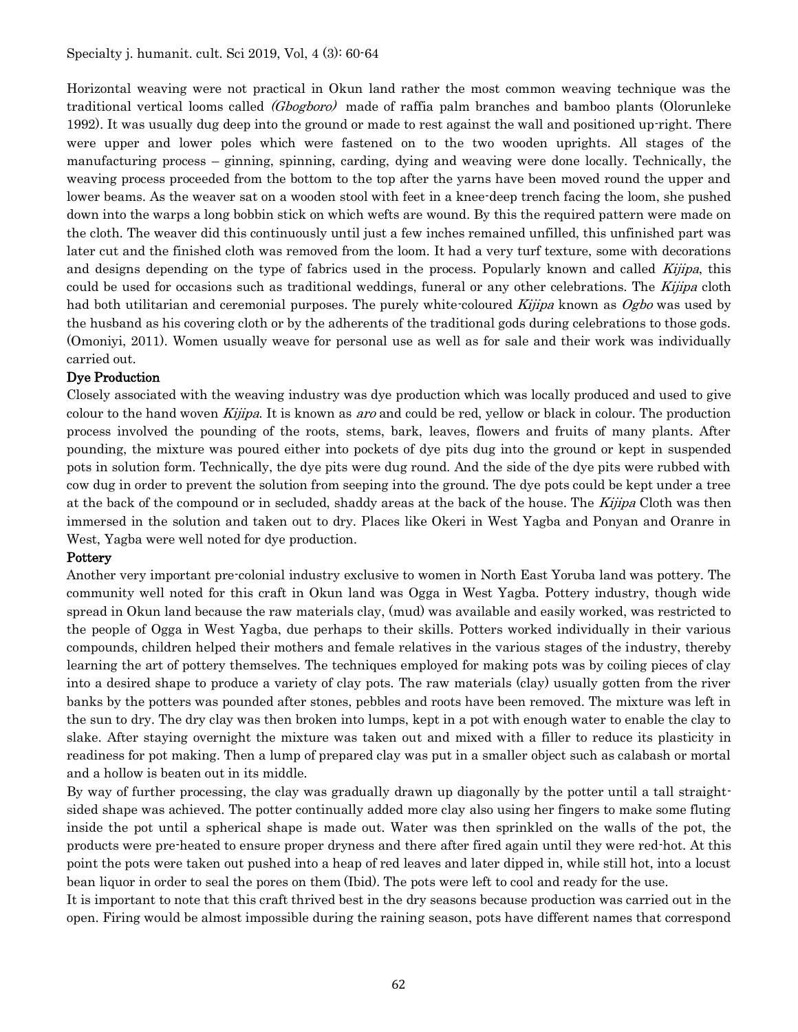Horizontal weaving were not practical in Okun land rather the most common weaving technique was the traditional vertical looms called (Gbogboro) made of raffia palm branches and bamboo plants (Olorunleke 1992). It was usually dug deep into the ground or made to rest against the wall and positioned up-right. There were upper and lower poles which were fastened on to the two wooden uprights. All stages of the manufacturing process – ginning, spinning, carding, dying and weaving were done locally. Technically, the weaving process proceeded from the bottom to the top after the yarns have been moved round the upper and lower beams. As the weaver sat on a wooden stool with feet in a knee-deep trench facing the loom, she pushed down into the warps a long bobbin stick on which wefts are wound. By this the required pattern were made on the cloth. The weaver did this continuously until just a few inches remained unfilled, this unfinished part was later cut and the finished cloth was removed from the loom. It had a very turf texture, some with decorations and designs depending on the type of fabrics used in the process. Popularly known and called Kijipa, this could be used for occasions such as traditional weddings, funeral or any other celebrations. The Kijipa cloth had both utilitarian and ceremonial purposes. The purely white-coloured Kijipa known as  $\dot{O}gbo$  was used by the husband as his covering cloth or by the adherents of the traditional gods during celebrations to those gods. (Omoniyi, 2011). Women usually weave for personal use as well as for sale and their work was individually carried out.

## Dye Production

Closely associated with the weaving industry was dye production which was locally produced and used to give colour to the hand woven *Kijipa*. It is known as aro and could be red, yellow or black in colour. The production process involved the pounding of the roots, stems, bark, leaves, flowers and fruits of many plants. After pounding, the mixture was poured either into pockets of dye pits dug into the ground or kept in suspended pots in solution form. Technically, the dye pits were dug round. And the side of the dye pits were rubbed with cow dug in order to prevent the solution from seeping into the ground. The dye pots could be kept under a tree at the back of the compound or in secluded, shaddy areas at the back of the house. The Kijipa Cloth was then immersed in the solution and taken out to dry. Places like Okeri in West Yagba and Ponyan and Oranre in West, Yagba were well noted for dye production.

#### **Pottery**

Another very important pre-colonial industry exclusive to women in North East Yoruba land was pottery. The community well noted for this craft in Okun land was Ogga in West Yagba. Pottery industry, though wide spread in Okun land because the raw materials clay, (mud) was available and easily worked, was restricted to the people of Ogga in West Yagba, due perhaps to their skills. Potters worked individually in their various compounds, children helped their mothers and female relatives in the various stages of the industry, thereby learning the art of pottery themselves. The techniques employed for making pots was by coiling pieces of clay into a desired shape to produce a variety of clay pots. The raw materials (clay) usually gotten from the river banks by the potters was pounded after stones, pebbles and roots have been removed. The mixture was left in the sun to dry. The dry clay was then broken into lumps, kept in a pot with enough water to enable the clay to slake. After staying overnight the mixture was taken out and mixed with a filler to reduce its plasticity in readiness for pot making. Then a lump of prepared clay was put in a smaller object such as calabash or mortal and a hollow is beaten out in its middle.

By way of further processing, the clay was gradually drawn up diagonally by the potter until a tall straightsided shape was achieved. The potter continually added more clay also using her fingers to make some fluting inside the pot until a spherical shape is made out. Water was then sprinkled on the walls of the pot, the products were pre-heated to ensure proper dryness and there after fired again until they were red-hot. At this point the pots were taken out pushed into a heap of red leaves and later dipped in, while still hot, into a locust bean liquor in order to seal the pores on them (Ibid). The pots were left to cool and ready for the use.

It is important to note that this craft thrived best in the dry seasons because production was carried out in the open. Firing would be almost impossible during the raining season, pots have different names that correspond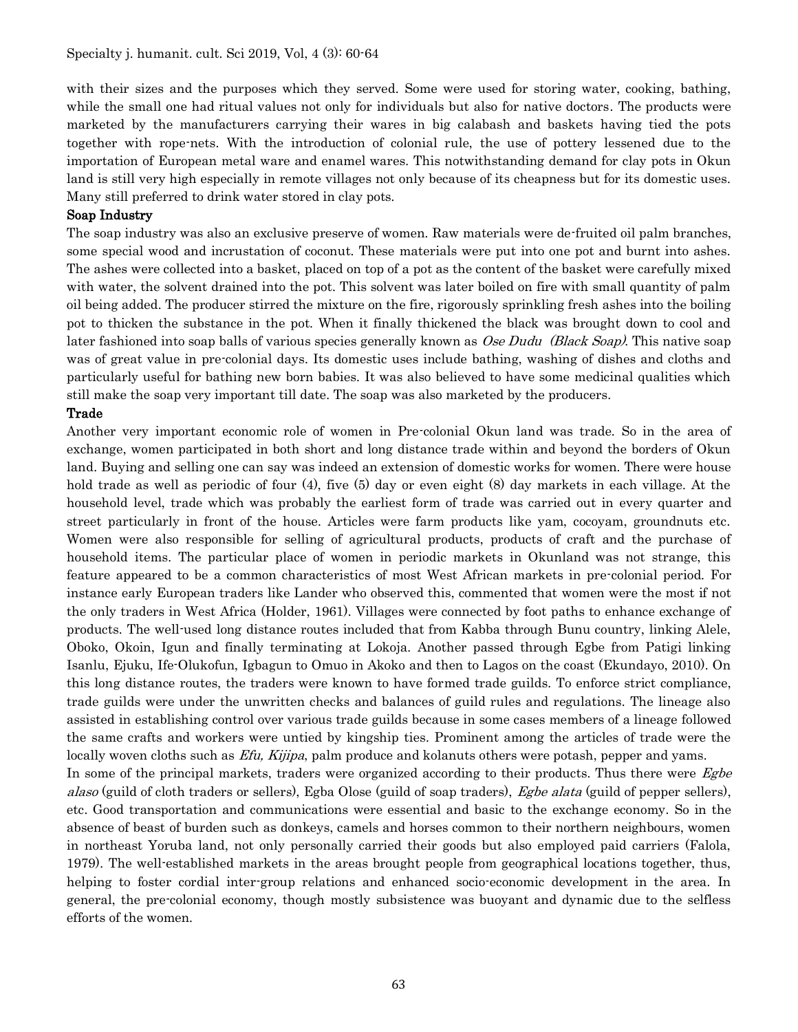with their sizes and the purposes which they served. Some were used for storing water, cooking, bathing, while the small one had ritual values not only for individuals but also for native doctors. The products were marketed by the manufacturers carrying their wares in big calabash and baskets having tied the pots together with rope-nets. With the introduction of colonial rule, the use of pottery lessened due to the importation of European metal ware and enamel wares. This notwithstanding demand for clay pots in Okun land is still very high especially in remote villages not only because of its cheapness but for its domestic uses. Many still preferred to drink water stored in clay pots.

#### Soap Industry

The soap industry was also an exclusive preserve of women. Raw materials were de-fruited oil palm branches, some special wood and incrustation of coconut. These materials were put into one pot and burnt into ashes. The ashes were collected into a basket, placed on top of a pot as the content of the basket were carefully mixed with water, the solvent drained into the pot. This solvent was later boiled on fire with small quantity of palm oil being added. The producer stirred the mixture on the fire, rigorously sprinkling fresh ashes into the boiling pot to thicken the substance in the pot. When it finally thickened the black was brought down to cool and later fashioned into soap balls of various species generally known as *Ose Dudu (Black Soap)*. This native soap was of great value in pre-colonial days. Its domestic uses include bathing, washing of dishes and cloths and particularly useful for bathing new born babies. It was also believed to have some medicinal qualities which still make the soap very important till date. The soap was also marketed by the producers.

#### Trade

Another very important economic role of women in Pre-colonial Okun land was trade. So in the area of exchange, women participated in both short and long distance trade within and beyond the borders of Okun land. Buying and selling one can say was indeed an extension of domestic works for women. There were house hold trade as well as periodic of four (4), five (5) day or even eight (8) day markets in each village. At the household level, trade which was probably the earliest form of trade was carried out in every quarter and street particularly in front of the house. Articles were farm products like yam, cocoyam, groundnuts etc. Women were also responsible for selling of agricultural products, products of craft and the purchase of household items. The particular place of women in periodic markets in Okunland was not strange, this feature appeared to be a common characteristics of most West African markets in pre-colonial period. For instance early European traders like Lander who observed this, commented that women were the most if not the only traders in West Africa (Holder, 1961). Villages were connected by foot paths to enhance exchange of products. The well-used long distance routes included that from Kabba through Bunu country, linking Alele, Oboko, Okoin, Igun and finally terminating at Lokoja. Another passed through Egbe from Patigi linking Isanlu, Ejuku, Ife-Olukofun, Igbagun to Omuo in Akoko and then to Lagos on the coast (Ekundayo, 2010). On this long distance routes, the traders were known to have formed trade guilds. To enforce strict compliance, trade guilds were under the unwritten checks and balances of guild rules and regulations. The lineage also assisted in establishing control over various trade guilds because in some cases members of a lineage followed the same crafts and workers were untied by kingship ties. Prominent among the articles of trade were the locally woven cloths such as *Efu, Kijipa*, palm produce and kolanuts others were potash, pepper and yams. In some of the principal markets, traders were organized according to their products. Thus there were Egbe alaso (guild of cloth traders or sellers), Egba Olose (guild of soap traders), Egbe alata (guild of pepper sellers), etc. Good transportation and communications were essential and basic to the exchange economy. So in the absence of beast of burden such as donkeys, camels and horses common to their northern neighbours, women in northeast Yoruba land, not only personally carried their goods but also employed paid carriers (Falola, 1979). The well-established markets in the areas brought people from geographical locations together, thus, helping to foster cordial inter-group relations and enhanced socio-economic development in the area. In general, the pre-colonial economy, though mostly subsistence was buoyant and dynamic due to the selfless efforts of the women.